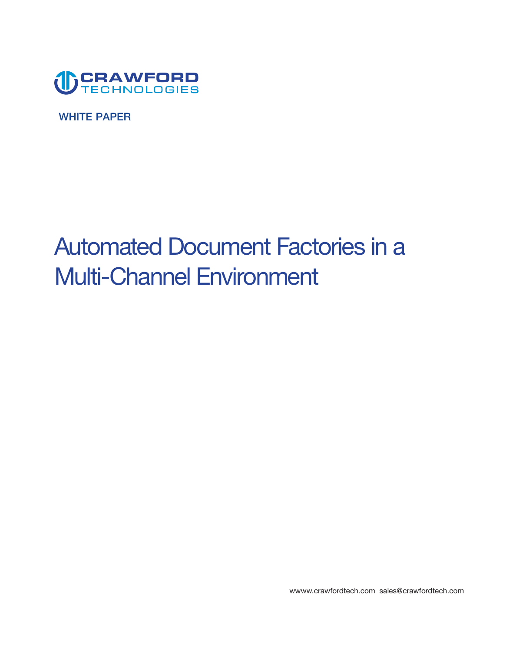

**WHITE PAPER** 

# **Automated Document Factories in a Multi-Channel Environment**

**[wwww.crawfordtech.com](https://wwww.crawfordtech.com) [sales@crawfordtech.com](mailto:sales@crawfordtech.com)**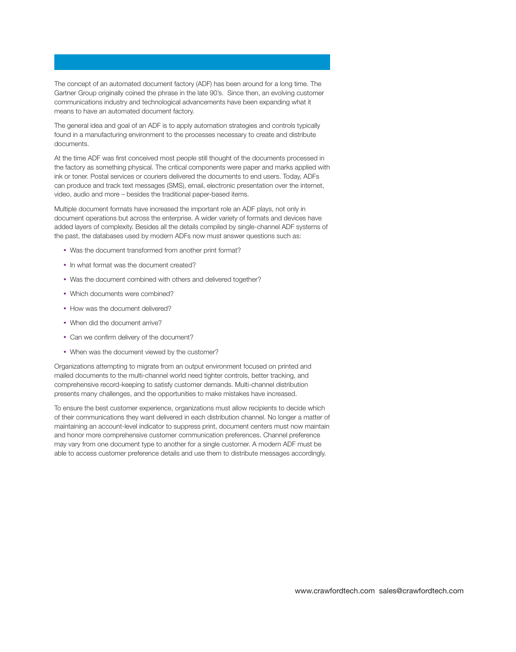**The concept of an automated document factory (ADF) has been around for a long time. The Gartner Group originally coined the phrase in the late 90's. Since then, an evolving customer communications industry and technological advancements have been expanding what it means to have an automated document factory.** 

**The general idea and goal of an ADF is to apply automation strategies and controls typically found in a manufacturing environment to the processes necessary to create and distribute documents.** 

**At the time ADF was frst conceived most people still thought of the documents processed in the factory as something physical. The critical components were paper and marks applied with ink or toner. Postal services or couriers delivered the documents to end users. Today, ADFs can produce and track text messages (SMS), email, electronic presentation over the internet, video, audio and more – besides the traditional paper-based items.** 

**Multiple document formats have increased the important role an ADF plays, not only in document operations but across the enterprise. A wider variety of formats and devices have added layers of complexity. Besides all the details compiled by single-channel ADF systems of the past, the databases used by modern ADFs now must answer questions such as:** 

- **• Was the document transformed from another print format?**
- **• In what format was the document created?**
- **• Was the document combined with others and delivered together?**
- **• Which documents were combined?**
- **• How was the document delivered?**
- **• When did the document arrive?**
- **• Can we confrm delivery of the document?**
- **• When was the document viewed by the customer?**

**Organizations attempting to migrate from an output environment focused on printed and mailed documents to the multi-channel world need tighter controls, better tracking, and comprehensive record-keeping to satisfy customer demands. Multi-channel distribution presents many challenges, and the opportunities to make mistakes have increased.** 

**To ensure the best customer experience, organizations must allow recipients to decide which of their communications they want delivered in each distribution channel. No longer a matter of maintaining an account-level indicator to suppress print, document centers must now maintain and honor more comprehensive customer communication preferences. Channel preference may vary from one document type to another for a single customer. A modern ADF must be able to access customer preference details and use them to distribute messages accordingly.**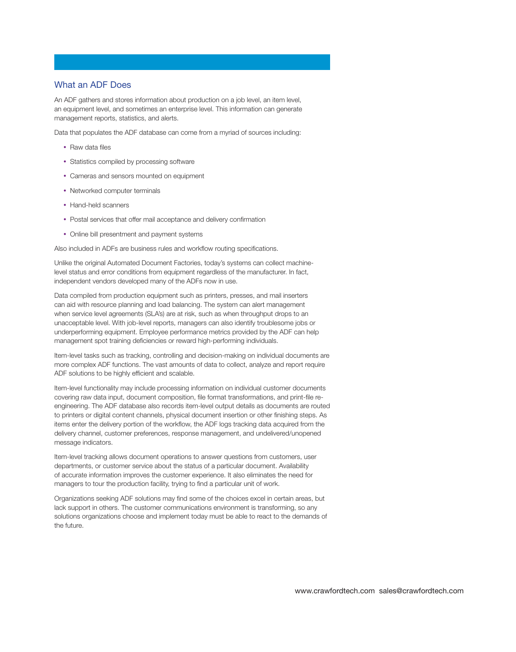## **What an ADF Does**

**An ADF gathers and stores information about production on a job level, an item level, an equipment level, and sometimes an enterprise level. This information can generate management reports, statistics, and alerts.** 

**Data that populates the ADF database can come from a myriad of sources including:** 

- **• Raw data fles**
- **• Statistics compiled by processing software**
- **• Cameras and sensors mounted on equipment**
- **• Networked computer terminals**
- **• Hand-held scanners**
- **• Postal services that offer mail acceptance and delivery confrmation**
- **• Online bill presentment and payment systems**

**Also included in ADFs are business rules and workfow routing specifcations.** 

**Unlike the original Automated Document Factories, today's systems can collect machinelevel status and error conditions from equipment regardless of the manufacturer. In fact, independent vendors developed many of the ADFs now in use.** 

**Data compiled from production equipment such as printers, presses, and mail inserters can aid with resource planning and load balancing. The system can alert management when service level agreements (SLA's) are at risk, such as when throughput drops to an unacceptable level. With job-level reports, managers can also identify troublesome jobs or underperforming equipment. Employee performance metrics provided by the ADF can help**  management spot training deficiencies or reward high-performing individuals.

**Item-level tasks such as tracking, controlling and decision-making on individual documents are more complex ADF functions. The vast amounts of data to collect, analyze and report require**  ADF solutions to be highly efficient and scalable.

**Item-level functionality may include processing information on individual customer documents covering raw data input, document composition, fle format transformations, and print-fle reengineering. The ADF database also records item-level output details as documents are routed to printers or digital content channels, physical document insertion or other fnishing steps. As items enter the delivery portion of the workfow, the ADF logs tracking data acquired from the delivery channel, customer preferences, response management, and undelivered/unopened message indicators.** 

**Item-level tracking allows document operations to answer questions from customers, user departments, or customer service about the status of a particular document. Availability of accurate information improves the customer experience. It also eliminates the need for**  managers to tour the production facility, trying to find a particular unit of work.

**Organizations seeking ADF solutions may fnd some of the choices excel in certain areas, but lack support in others. The customer communications environment is transforming, so any solutions organizations choose and implement today must be able to react to the demands of the future.**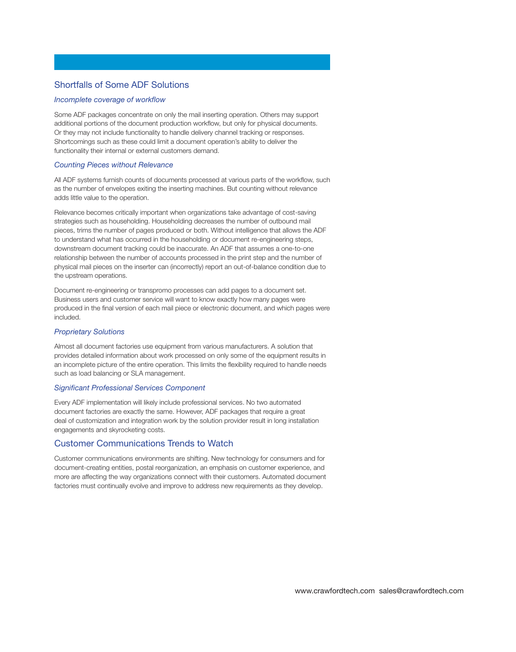## **Shortfalls of Some ADF Solutions**

#### *Incomplete coverage of workfow*

**Some ADF packages concentrate on only the mail inserting operation. Others may support additional portions of the document production workfow, but only for physical documents. Or they may not include functionality to handle delivery channel tracking or responses. Shortcomings such as these could limit a document operation's ability to deliver the functionality their internal or external customers demand.** 

#### *Counting Pieces without Relevance*

**All ADF systems furnish counts of documents processed at various parts of the workfow, such as the number of envelopes exiting the inserting machines. But counting without relevance adds little value to the operation.** 

**Relevance becomes critically important when organizations take advantage of cost-saving strategies such as householding. Householding decreases the number of outbound mail pieces, trims the number of pages produced or both. Without intelligence that allows the ADF to understand what has occurred in the householding or document re-engineering steps, downstream document tracking could be inaccurate. An ADF that assumes a one-to-one relationship between the number of accounts processed in the print step and the number of physical mail pieces on the inserter can (incorrectly) report an out-of-balance condition due to the upstream operations.** 

**Document re-engineering or transpromo processes can add pages to a document set. Business users and customer service will want to know exactly how many pages were produced in the fnal version of each mail piece or electronic document, and which pages were included.** 

## *Proprietary Solutions*

**Almost all document factories use equipment from various manufacturers. A solution that provides detailed information about work processed on only some of the equipment results in an incomplete picture of the entire operation. This limits the fexibility required to handle needs such as load balancing or SLA management.** 

#### *Signifcant Professional Services Component*

**Every ADF implementation will likely include professional services. No two automated document factories are exactly the same. However, ADF packages that require a great deal of customization and integration work by the solution provider result in long installation engagements and skyrocketing costs.** 

# **Customer Communications Trends to Watch**

**Customer communications environments are shifting. New technology for consumers and for document-creating entities, postal reorganization, an emphasis on customer experience, and more are affecting the way organizations connect with their customers. Automated document factories must continually evolve and improve to address new requirements as they develop.**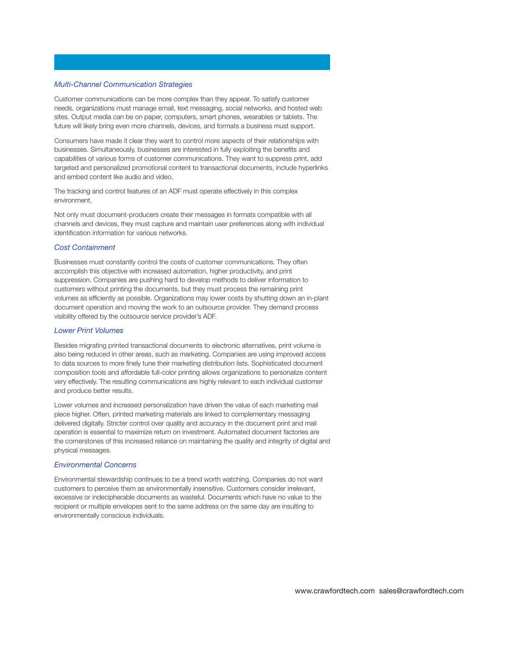#### *Multi-Channel Communication Strategies*

**Customer communications can be more complex than they appear. To satisfy customer needs, organizations must manage email, text messaging, social networks, and hosted web sites. Output media can be on paper, computers, smart phones, wearables or tablets. The future will likely bring even more channels, devices, and formats a business must support.** 

**Consumers have made it clear they want to control more aspects of their relationships with businesses. Simultaneously, businesses are interested in fully exploiting the benefts and capabilities of various forms of customer communications. They want to suppress print, add targeted and personalized promotional content to transactional documents, include hyperlinks and embed content like audio and video.** 

**The tracking and control features of an ADF must operate effectively in this complex environment.** 

**Not only must document-producers create their messages in formats compatible with all channels and devices, they must capture and maintain user preferences along with individual identifcation information for various networks.** 

#### *Cost Containment*

**Businesses must constantly control the costs of customer communications. They often accomplish this objective with increased automation, higher productivity, and print suppression. Companies are pushing hard to develop methods to deliver information to customers without printing the documents, but they must process the remaining print volumes as effciently as possible. Organizations may lower costs by shutting down an in-plant document operation and moving the work to an outsource provider. They demand process visibility offered by the outsource service provider's ADF.** 

#### *Lower Print Volumes*

**Besides migrating printed transactional documents to electronic alternatives, print volume is also being reduced in other areas, such as marketing. Companies are using improved access to data sources to more fnely tune their marketing distribution lists. Sophisticated document composition tools and affordable full-color printing allows organizations to personalize content very effectively. The resulting communications are highly relevant to each individual customer and produce better results.** 

**Lower volumes and increased personalization have driven the value of each marketing mail piece higher. Often, printed marketing materials are linked to complementary messaging delivered digitally. Stricter control over quality and accuracy in the document print and mail operation is essential to maximize return on investment. Automated document factories are the cornerstones of this increased reliance on maintaining the quality and integrity of digital and physical messages.** 

#### *Environmental Concerns*

**Environmental stewardship continues to be a trend worth watching. Companies do not want customers to perceive them as environmentally insensitive. Customers consider irrelevant, excessive or indecipherable documents as wasteful. Documents which have no value to the recipient or multiple envelopes sent to the same address on the same day are insulting to environmentally conscious individuals.**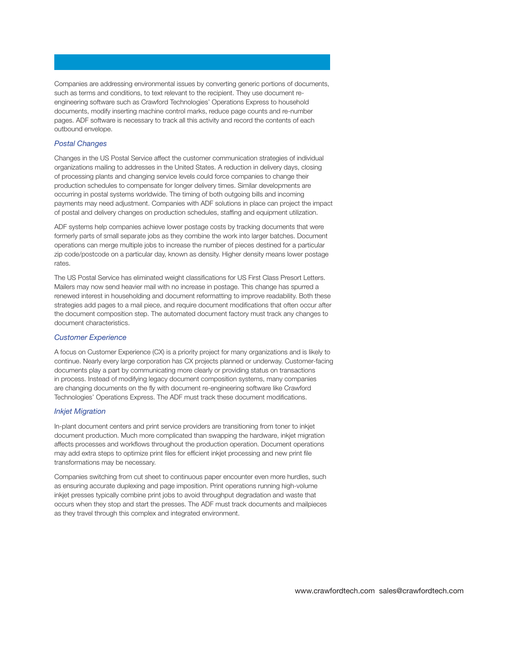**Companies are addressing environmental issues by converting generic portions of documents, such as terms and conditions, to text relevant to the recipient. They use document reengineering software such as Crawford Technologies' Operations Express to household documents, modify inserting machine control marks, reduce page counts and re-number pages. ADF software is necessary to track all this activity and record the contents of each outbound envelope.** 

### *Postal Changes*

**Changes in the US Postal Service affect the customer communication strategies of individual organizations mailing to addresses in the United States. A reduction in delivery days, closing of processing plants and changing service levels could force companies to change their production schedules to compensate for longer delivery times. Similar developments are occurring in postal systems worldwide. The timing of both outgoing bills and incoming payments may need adjustment. Companies with ADF solutions in place can project the impact of postal and delivery changes on production schedules, staffng and equipment utilization.** 

**ADF systems help companies achieve lower postage costs by tracking documents that were formerly parts of small separate jobs as they combine the work into larger batches. Document operations can merge multiple jobs to increase the number of pieces destined for a particular zip code/postcode on a particular day, known as density. Higher density means lower postage rates.** 

**The US Postal Service has eliminated weight classifcations for US First Class Presort Letters. Mailers may now send heavier mail with no increase in postage. This change has spurred a renewed interest in householding and document reformatting to improve readability. Both these strategies add pages to a mail piece, and require document modifcations that often occur after the document composition step. The automated document factory must track any changes to document characteristics.** 

### *Customer Experience*

**A focus on Customer Experience (CX) is a priority project for many organizations and is likely to continue. Nearly every large corporation has CX projects planned or underway. Customer-facing documents play a part by communicating more clearly or providing status on transactions in process. Instead of modifying legacy document composition systems, many companies are changing documents on the fy with document re-engineering software like Crawford Technologies' Operations Express. The ADF must track these document modifcations.** 

#### *Inkjet Migration*

**In-plant document centers and print service providers are transitioning from toner to inkjet document production. Much more complicated than swapping the hardware, inkjet migration affects processes and workfows throughout the production operation. Document operations**  may add extra steps to optimize print files for efficient inkjet processing and new print file **transformations may be necessary.** 

**Companies switching from cut sheet to continuous paper encounter even more hurdles, such as ensuring accurate duplexing and page imposition. Print operations running high-volume inkjet presses typically combine print jobs to avoid throughput degradation and waste that occurs when they stop and start the presses. The ADF must track documents and mailpieces as they travel through this complex and integrated environment.**